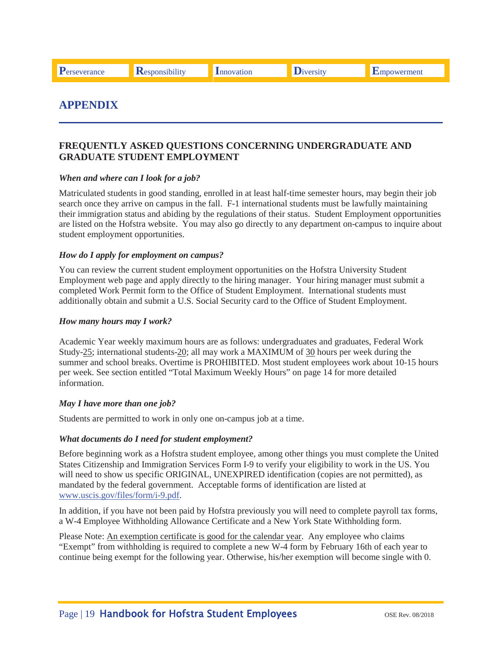# **APPENDIX**

# **FREQUENTLY ASKED QUESTIONS CONCERNING UNDERGRADUATE AND GRADUATE STUDENT EMPLOYMENT**

#### *When and where can I look for a job?*

 Matriculated students in good standing, enrolled in at least half-time semester hours, may begin their job search once they arrive on campus in the fall. F-1 international students must be lawfully maintaining their immigration status and abiding by the regulations of their status. Student Employment opportunities are listed on the Hofstra website. You may also go directly to any department on-campus to inquire about student employment opportunities.

#### *How do I apply for employment on campus?*

 You can review the current student employment opportunities on the Hofstra University Student completed Work Permit form to the Office of Student Employment. International students must additionally obtain and submit a U.S. Social Security card to the Office of Student Employment. Employment web page and apply directly to the hiring manager. Your hiring manager must submit a

#### *How many hours may I work?*

Academic Year weekly maximum hours are as follows: undergraduates and graduates, Federal Work Study-25; international students-20; all may work a MAXIMUM of 30 hours per week during the summer and school breaks. Overtime is PROHIBITED. Most student employees work about 10-15 hours per week. See section entitled "Total Maximum Weekly Hours" on page 14 for more detailed information.

#### *May I have more than one job?*

Students are permitted to work in only one on-campus job at a time.

#### *What documents do I need for student employment?*

 will need to show us specific ORIGINAL, UNEXPIRED identification (copies are not permitted), as Before beginning work as a Hofstra student employee, among other things you must complete the United States Citizenship and Immigration Services Form I-9 to verify your eligibility to work in the US. You mandated by the federal government. Acceptable forms of identification are listed at www.uscis.gov/files/form/i-9.pdf.

In addition, if you have not been paid by Hofstra previously you will need to complete payroll tax forms, a W-4 Employee Withholding Allowance Certificate and a New York State Withholding form.

Please Note: An exemption certificate is good for the calendar year. Any employee who claims "Exempt" from withholding is required to complete a new W-4 form by February 16th of each year to continue being exempt for the following year. Otherwise, his/her exemption will become single with 0.